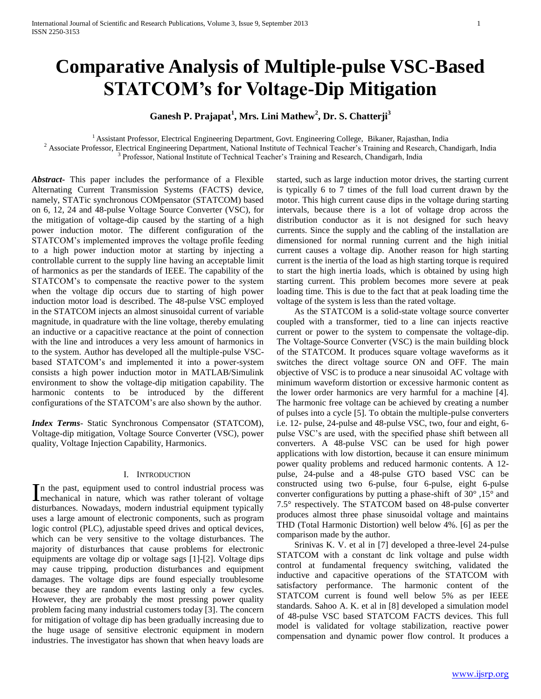# **Comparative Analysis of Multiple-pulse VSC-Based STATCOM's for Voltage-Dip Mitigation**

## **Ganesh P. Prajapat<sup>1</sup> , Mrs. Lini Mathew<sup>2</sup> , Dr. S. Chatterji<sup>3</sup>**

<sup>1</sup>Assistant Professor, Electrical Engineering Department, Govt. Engineering College, Bikaner, Rajasthan, India

<sup>2</sup> Associate Professor, Electrical Engineering Department, National Institute of Technical Teacher's Training and Research, Chandigarh, India

<sup>3</sup> Professor, National Institute of Technical Teacher's Training and Research, Chandigarh, India

*Abstract***-** This paper includes the performance of a Flexible Alternating Current Transmission Systems (FACTS) device, namely, STATic synchronous COMpensator (STATCOM) based on 6, 12, 24 and 48-pulse Voltage Source Converter (VSC), for the mitigation of voltage-dip caused by the starting of a high power induction motor. The different configuration of the STATCOM's implemented improves the voltage profile feeding to a high power induction motor at starting by injecting a controllable current to the supply line having an acceptable limit of harmonics as per the standards of IEEE. The capability of the STATCOM's to compensate the reactive power to the system when the voltage dip occurs due to starting of high power induction motor load is described. The 48-pulse VSC employed in the STATCOM injects an almost sinusoidal current of variable magnitude, in quadrature with the line voltage, thereby emulating an inductive or a capacitive reactance at the point of connection with the line and introduces a very less amount of harmonics in to the system. Author has developed all the multiple-pulse VSCbased STATCOM's and implemented it into a power-system consists a high power induction motor in MATLAB/Simulink environment to show the voltage-dip mitigation capability. The harmonic contents to be introduced by the different configurations of the STATCOM's are also shown by the author.

*Index Terms*- Static Synchronous Compensator (STATCOM), Voltage-dip mitigation, Voltage Source Converter (VSC), power quality, Voltage Injection Capability, Harmonics.

## I. INTRODUCTION

n the past, equipment used to control industrial process was In the past, equipment used to control industrial process was mechanical in nature, which was rather tolerant of voltage disturbances. Nowadays, modern industrial equipment typically uses a large amount of electronic components, such as program logic control (PLC), adjustable speed drives and optical devices, which can be very sensitive to the voltage disturbances. The majority of disturbances that cause problems for electronic equipments are voltage dip or voltage sags [1]-[2]. Voltage dips may cause tripping, production disturbances and equipment damages. The voltage dips are found especially troublesome because they are random events lasting only a few cycles. However, they are probably the most pressing power quality problem facing many industrial customers today [3]. The concern for mitigation of voltage dip has been gradually increasing due to the huge usage of sensitive electronic equipment in modern industries. The investigator has shown that when heavy loads are

started, such as large induction motor drives, the starting current is typically 6 to 7 times of the full load current drawn by the motor. This high current cause dips in the voltage during starting intervals, because there is a lot of voltage drop across the distribution conductor as it is not designed for such heavy currents. Since the supply and the cabling of the installation are dimensioned for normal running current and the high initial current causes a voltage dip. Another reason for high starting current is the inertia of the load as high starting torque is required to start the high inertia loads, which is obtained by using high starting current. This problem becomes more severe at peak loading time. This is due to the fact that at peak loading time the voltage of the system is less than the rated voltage.

 As the STATCOM is a solid-state voltage source converter coupled with a transformer, tied to a line can injects reactive current or power to the system to compensate the voltage-dip. The Voltage-Source Converter (VSC) is the main building block of the STATCOM. It produces square voltage waveforms as it switches the direct voltage source ON and OFF. The main objective of VSC is to produce a near sinusoidal AC voltage with minimum waveform distortion or excessive harmonic content as the lower order harmonics are very harmful for a machine [4]. The harmonic free voltage can be achieved by creating a number of pulses into a cycle [5]. To obtain the multiple-pulse converters i.e. 12- pulse, 24-pulse and 48-pulse VSC, two, four and eight, 6 pulse VSC's are used, with the specified phase shift between all converters. A 48-pulse VSC can be used for high power applications with low distortion, because it can ensure minimum power quality problems and reduced harmonic contents. A 12 pulse, 24-pulse and a 48-pulse GTO based VSC can be constructed using two 6-pulse, four 6-pulse, eight 6-pulse converter configurations by putting a phase-shift of 30° ,15° and 7.5° respectively. The STATCOM based on 48-pulse converter produces almost three phase sinusoidal voltage and maintains THD (Total Harmonic Distortion) well below 4%. [6] as per the comparison made by the author.

 Srinivas K. V. et al in [7] developed a three-level 24-pulse STATCOM with a constant dc link voltage and pulse width control at fundamental frequency switching, validated the inductive and capacitive operations of the STATCOM with satisfactory performance. The harmonic content of the STATCOM current is found well below 5% as per IEEE standards. Sahoo A. K. et al in [8] developed a simulation model of 48-pulse VSC based STATCOM FACTS devices. This full model is validated for voltage stabilization, reactive power compensation and dynamic power flow control. It produces a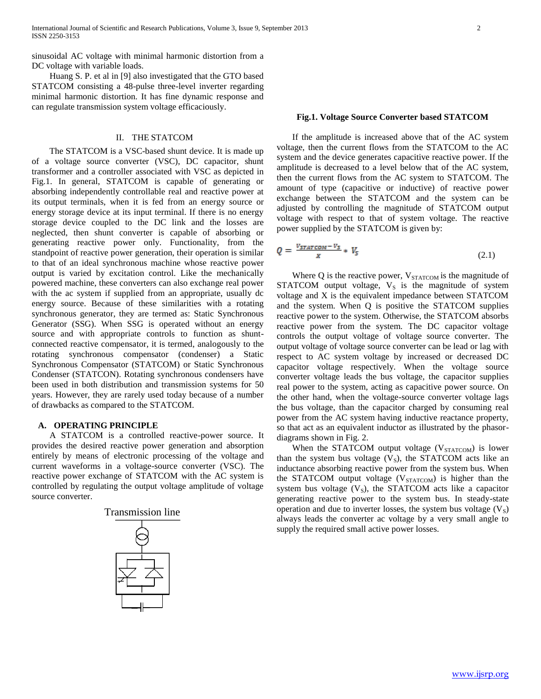sinusoidal AC voltage with minimal harmonic distortion from a DC voltage with variable loads.

 Huang S. P. et al in [9] also investigated that the GTO based STATCOM consisting a 48-pulse three-level inverter regarding minimal harmonic distortion. It has fine dynamic response and can regulate transmission system voltage efficaciously.

## II. THE STATCOM

 The STATCOM is a VSC-based shunt device. It is made up of a voltage source converter (VSC), DC capacitor, shunt transformer and a controller associated with VSC as depicted in Fig.1. In general, STATCOM is capable of generating or absorbing independently controllable real and reactive power at its output terminals, when it is fed from an energy source or energy storage device at its input terminal. If there is no energy storage device coupled to the DC link and the losses are neglected, then shunt converter is capable of absorbing or generating reactive power only. Functionality, from the standpoint of reactive power generation, their operation is similar to that of an ideal synchronous machine whose reactive power output is varied by excitation control. Like the mechanically powered machine, these converters can also exchange real power with the ac system if supplied from an appropriate, usually dc energy source. Because of these similarities with a rotating synchronous generator, they are termed as: Static Synchronous Generator (SSG). When SSG is operated without an energy source and with appropriate controls to function as shuntconnected reactive compensator, it is termed, analogously to the rotating synchronous compensator (condenser) a Static Synchronous Compensator (STATCOM) or Static Synchronous Condenser (STATCON). Rotating synchronous condensers have been used in both distribution and transmission systems for 50 years. However, they are rarely used today because of a number of drawbacks as compared to the STATCOM.

## **A. OPERATING PRINCIPLE**

 A STATCOM is a controlled reactive-power source. It provides the desired reactive power generation and absorption entirely by means of electronic processing of the voltage and current waveforms in a voltage-source converter (VSC). The reactive power exchange of STATCOM with the AC system is controlled by regulating the output voltage amplitude of voltage source converter.



### **Fig.1. Voltage Source Converter based STATCOM**

 If the amplitude is increased above that of the AC system voltage, then the current flows from the STATCOM to the AC system and the device generates capacitive reactive power. If the amplitude is decreased to a level below that of the AC system, then the current flows from the AC system to STATCOM. The amount of type (capacitive or inductive) of reactive power exchange between the STATCOM and the system can be adjusted by controlling the magnitude of STATCOM output voltage with respect to that of system voltage. The reactive power supplied by the STATCOM is given by:

$$
Q = \frac{v_{\text{STAT COM}} - v_{\text{s}}}{x} * V_{\text{s}} \tag{2.1}
$$

Where  $Q$  is the reactive power,  $V_{STATCOM}$  is the magnitude of STATCOM output voltage,  $V<sub>S</sub>$  is the magnitude of system voltage and X is the equivalent impedance between STATCOM and the system. When Q is positive the STATCOM supplies reactive power to the system. Otherwise, the STATCOM absorbs reactive power from the system. The DC capacitor voltage controls the output voltage of voltage source converter. The output voltage of voltage source converter can be lead or lag with respect to AC system voltage by increased or decreased DC capacitor voltage respectively. When the voltage source converter voltage leads the bus voltage, the capacitor supplies real power to the system, acting as capacitive power source. On the other hand, when the voltage-source converter voltage lags the bus voltage, than the capacitor charged by consuming real power from the AC system having inductive reactance property, so that act as an equivalent inductor as illustrated by the phasordiagrams shown in Fig. 2.

When the STATCOM output voltage  $(V_{STATCOM})$  is lower than the system bus voltage  $(V<sub>S</sub>)$ , the STATCOM acts like an inductance absorbing reactive power from the system bus. When the STATCOM output voltage (V<sub>STATCOM</sub>) is higher than the system bus voltage  $(V<sub>S</sub>)$ , the STATCOM acts like a capacitor generating reactive power to the system bus. In steady-state operation and due to inverter losses, the system bus voltage  $(V<sub>S</sub>)$ always leads the converter ac voltage by a very small angle to supply the required small active power losses.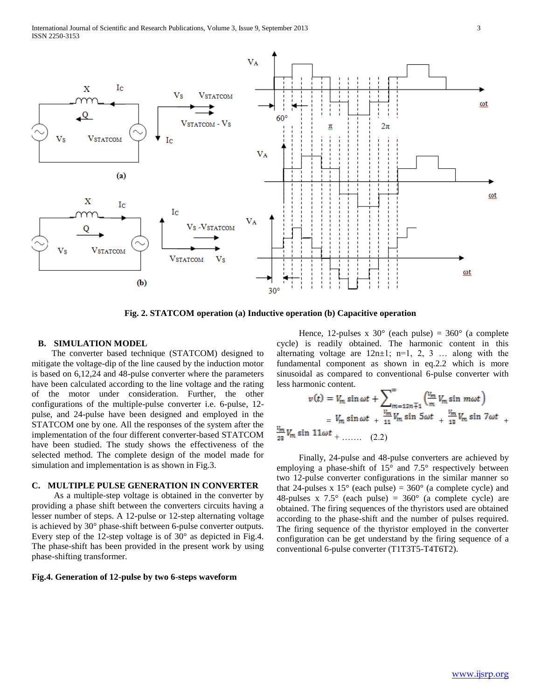

**Fig. 2. STATCOM operation (a) Inductive operation (b) Capacitive operation**

## **B. SIMULATION MODEL**

 The converter based technique (STATCOM) designed to mitigate the voltage-dip of the line caused by the induction motor is based on 6,12,24 and 48-pulse converter where the parameters have been calculated according to the line voltage and the rating of the motor under consideration. Further, the other configurations of the multiple-pulse converter i.e. 6-pulse, 12 pulse, and 24-pulse have been designed and employed in the STATCOM one by one. All the responses of the system after the implementation of the four different converter-based STATCOM have been studied. The study shows the effectiveness of the selected method. The complete design of the model made for simulation and implementation is as shown in Fig.3.

## **C. MULTIPLE PULSE GENERATION IN CONVERTER**

 As a multiple-step voltage is obtained in the converter by providing a phase shift between the converters circuits having a lesser number of steps. A 12-pulse or 12-step alternating voltage is achieved by 30° phase-shift between 6-pulse converter outputs. Every step of the 12-step voltage is of 30° as depicted in Fig.4. The phase-shift has been provided in the present work by using phase-shifting transformer.

### **Fig.4. Generation of 12-pulse by two 6-steps waveform**

Hence, 12-pulses x  $30^{\circ}$  (each pulse) =  $360^{\circ}$  (a complete cycle) is readily obtained. The harmonic content in this alternating voltage are  $12n \pm 1$ ;  $n=1, 2, 3$  ... along with the fundamental component as shown in eq.2.2 which is more sinusoidal as compared to conventional 6-pulse converter with less harmonic content.

$$
v(t) = V_m \sin \omega t + \sum_{m=12n+1}^{\infty} \left(\frac{V_m}{m} V_m \sin m\omega t\right)
$$
  
=  $V_m \sin \omega t + \frac{V_m}{11} V_m \sin 5\omega t + \frac{V_m}{13} V_m \sin 7\omega t + \frac{V_m}{23} V_m \sin 11\omega t + \dots$  (2.2)

 Finally, 24-pulse and 48-pulse converters are achieved by employing a phase-shift of 15° and 7.5° respectively between two 12-pulse converter configurations in the similar manner so that 24-pulses x  $15^{\circ}$  (each pulse) =  $360^{\circ}$  (a complete cycle) and 48-pulses x  $7.5^{\circ}$  (each pulse) =  $360^{\circ}$  (a complete cycle) are obtained. The firing sequences of the thyristors used are obtained according to the phase-shift and the number of pulses required. The firing sequence of the thyristor employed in the converter configuration can be get understand by the firing sequence of a conventional 6-pulse converter (T1T3T5-T4T6T2).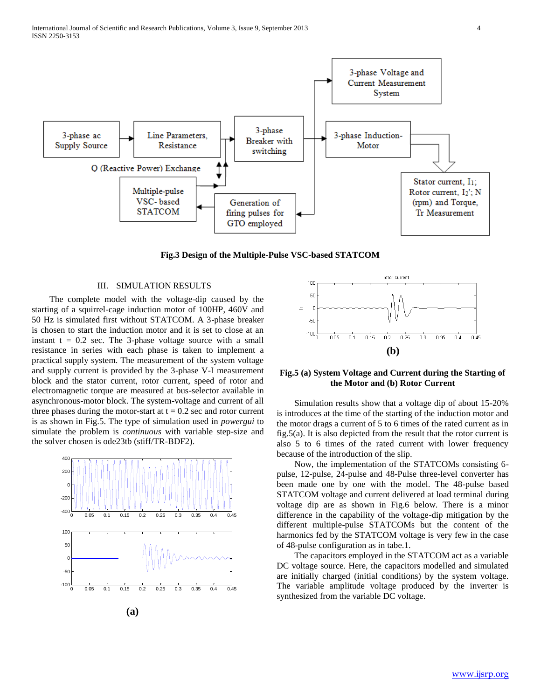

**Fig.3 Design of the Multiple-Pulse VSC-based STATCOM**

## III. SIMULATION RESULTS

 The complete model with the voltage-dip caused by the starting of a squirrel-cage induction motor of 100HP, 460V and 50 Hz is simulated first without STATCOM. A 3-phase breaker is chosen to start the induction motor and it is set to close at an instant  $t = 0.2$  sec. The 3-phase voltage source with a small resistance in series with each phase is taken to implement a practical supply system. The measurement of the system voltage and supply current is provided by the 3-phase V-I measurement block and the stator current, rotor current, speed of rotor and electromagnetic torque are measured at bus-selector available in asynchronous-motor block. The system-voltage and current of all three phases during the motor-start at  $t = 0.2$  sec and rotor current is as shown in Fig.5. The type of simulation used in *powergui* to simulate the problem is *continuous* with variable step-size and the solver chosen is ode23tb (stiff/TR-BDF2).



**(a)**



**Fig.5 (a) System Voltage and Current during the Starting of the Motor and (b) Rotor Current**

 Simulation results show that a voltage dip of about 15-20% is introduces at the time of the starting of the induction motor and the motor drags a current of 5 to 6 times of the rated current as in fig.5(a). It is also depicted from the result that the rotor current is also 5 to 6 times of the rated current with lower frequency because of the introduction of the slip.

 Now, the implementation of the STATCOMs consisting 6 pulse, 12-pulse, 24-pulse and 48-Pulse three-level converter has been made one by one with the model. The 48-pulse based STATCOM voltage and current delivered at load terminal during voltage dip are as shown in Fig.6 below. There is a minor difference in the capability of the voltage-dip mitigation by the different multiple-pulse STATCOMs but the content of the harmonics fed by the STATCOM voltage is very few in the case of 48-pulse configuration as in tabe.1.

 The capacitors employed in the STATCOM act as a variable DC voltage source. Here, the capacitors modelled and simulated are initially charged (initial conditions) by the system voltage. The variable amplitude voltage produced by the inverter is synthesized from the variable DC voltage.